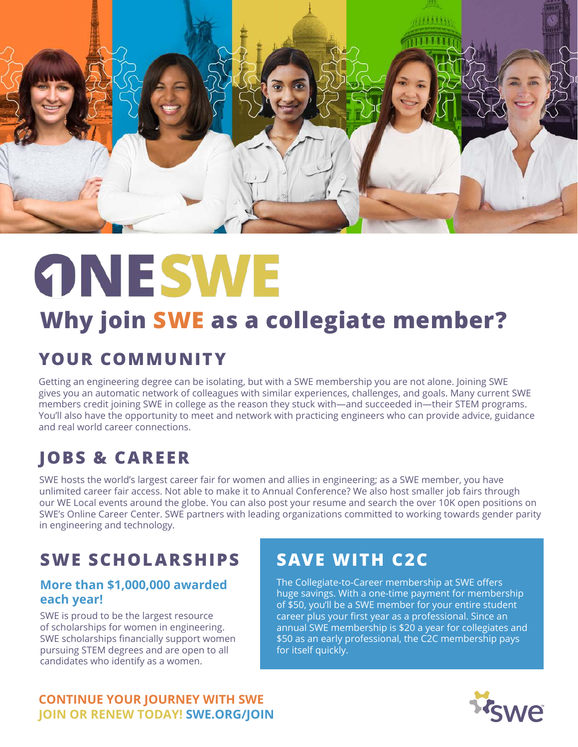

# **ONESWE**

## **Why join SWE as a collegiate member?**

## YOUR COMMUNITY

Getting an engineering degree can be isolating, but with a SWE membership you are not alone. Joining SWE gives you an automatic network of colleagues with similar experiences, challenges, and goals. Many current SWE members credit joining SWE in college as the reason they stuck with—and succeeded in—their STEM programs. You'll also have the opportunity to meet and network with practicing engineers who can provide advice, guidance and real world career connections.

## **JOBS & CAREER**

SWE hosts the world's largest career fair for women and allies in engineering; as a SWE member, you have unlimited career fair access. Not able to make it to Annual Conference? We also host smaller job fairs through our WE Local events around the globe. You can also post your resume and search the over 10K open positions on SWE's Online Career Center. SWE partners with leading organizations committed to working towards gender parity in engineering and technology.

## **SWE SCHOLARSHIPS**

#### **More than \$1,000,000 awarded each year!**

SWE is proud to be the largest resource of scholarships for women in engineering. SWE scholarships financially support women pursuing STEM degrees and are open to all candidates who identify as a women.

## **SAVE WITH C2C**

The Collegiate-to-Career membership at SWE offers huge savings. With a one-time payment for membership of \$50, you'll be a SWE member for your entire student career plus your first year as a professional. Since an annual SWE membership is \$20 a year for collegiates and \$50 as an early professional, the C2C membership pays for itself quickly.

#### **CONTINUE YOUR JOURNEY WITH SWE JOIN OR RENEW TODAY! SWE.ORG/JOIN**